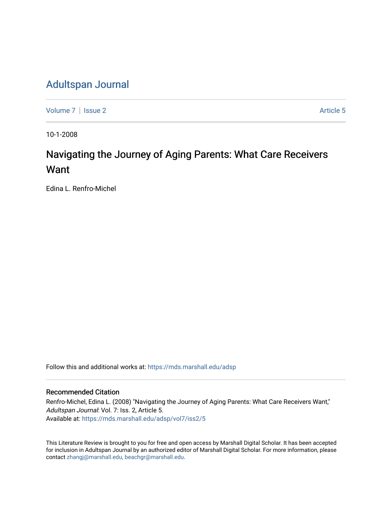## [Adultspan Journal](https://mds.marshall.edu/adsp)

[Volume 7](https://mds.marshall.edu/adsp/vol7) | [Issue 2](https://mds.marshall.edu/adsp/vol7/iss2) Article 5

10-1-2008

# Navigating the Journey of Aging Parents: What Care Receivers Want

Edina L. Renfro-Michel

Follow this and additional works at: [https://mds.marshall.edu/adsp](https://mds.marshall.edu/adsp?utm_source=mds.marshall.edu%2Fadsp%2Fvol7%2Fiss2%2F5&utm_medium=PDF&utm_campaign=PDFCoverPages) 

## Recommended Citation

Renfro-Michel, Edina L. (2008) "Navigating the Journey of Aging Parents: What Care Receivers Want," Adultspan Journal: Vol. 7: Iss. 2, Article 5. Available at: [https://mds.marshall.edu/adsp/vol7/iss2/5](https://mds.marshall.edu/adsp/vol7/iss2/5?utm_source=mds.marshall.edu%2Fadsp%2Fvol7%2Fiss2%2F5&utm_medium=PDF&utm_campaign=PDFCoverPages)

This Literature Review is brought to you for free and open access by Marshall Digital Scholar. It has been accepted for inclusion in Adultspan Journal by an authorized editor of Marshall Digital Scholar. For more information, please contact [zhangj@marshall.edu, beachgr@marshall.edu](mailto:zhangj@marshall.edu,%20beachgr@marshall.edu).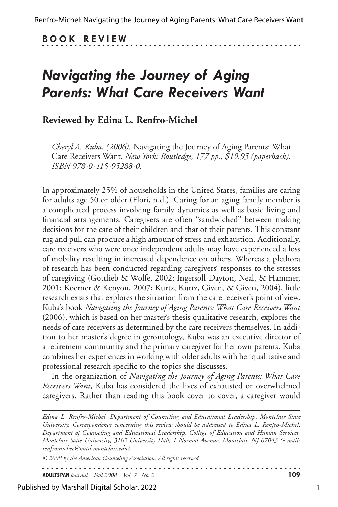**B O O K R E V I E W** . . . . . . . . . .

# *Navigating the Journey of Aging Parents: What Care Receivers Want*

## **Reviewed by Edina L. Renfro-Michel**

*Cheryl A. Kuba. (2006).* Navigating the Journey of Aging Parents: What Care Receivers Want. *New York: Routledge, 177 pp., \$19.95 (paperback). ISBN 978-0-415-95288-0.*

In approximately 25% of households in the United States, families are caring for adults age 50 or older (Flori, n.d.). Caring for an aging family member is a complicated process involving family dynamics as well as basic living and financial arrangements. Caregivers are often "sandwiched" between making decisions for the care of their children and that of their parents. This constant tug and pull can produce a high amount of stress and exhaustion. Additionally, care receivers who were once independent adults may have experienced a loss of mobility resulting in increased dependence on others. Whereas a plethora of research has been conducted regarding caregivers' responses to the stresses of caregiving (Gottlieb & Wolfe, 2002; Ingersoll-Dayton, Neal, & Hammer, 2001; Koerner & Kenyon, 2007; Kurtz, Kurtz, Given, & Given, 2004), little research exists that explores the situation from the care receiver's point of view. Kuba's book *Navigating the Journey of Aging Parents: What Care Receivers Want* (2006), which is based on her master's thesis qualitative research, explores the needs of care receivers as determined by the care receivers themselves. In addition to her master's degree in gerontology, Kuba was an executive director of a retirement community and the primary caregiver for her own parents. Kuba combines her experiences in working with older adults with her qualitative and professional research specific to the topics she discusses.

In the organization of *Navigating the Journey of Aging Parents: What Care Receivers Want*, Kuba has considered the lives of exhausted or overwhelmed caregivers. Rather than reading this book cover to cover, a caregiver would

*Edina L. Renfro-Michel, Department of Counseling and Educational Leadership, Montclair State University. Correspondence concerning this review should be addressed to Edina L. Renfro-Michel, Department of Counseling and Educational Leadership, College of Education and Human Services, Montclair State University, 3162 University Hall, 1 Normal Avenue, Montclair, NJ 07043 (e-mail: renfromichee@mail.montclair.edu).*

. . . . . . . . . . . . . . . . . .

*© 2008 by the American Counseling Association. All rights reserved.*

**ADULTSPAN***Journal Fall 2008 Vol. 7 No. 2* **109**

Published by Marshall Digital Scholar, 2022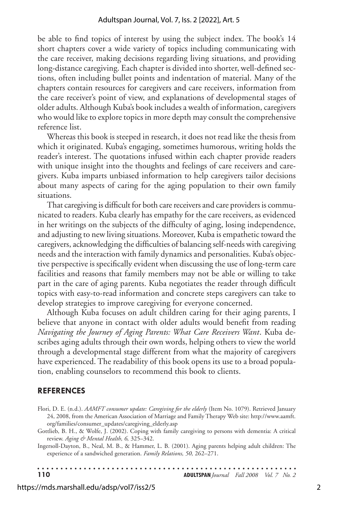be able to find topics of interest by using the subject index. The book's 14 short chapters cover a wide variety of topics including communicating with the care receiver, making decisions regarding living situations, and providing long-distance caregiving. Each chapter is divided into shorter, well-defined sections, often including bullet points and indentation of material. Many of the chapters contain resources for caregivers and care receivers, information from the care receiver's point of view, and explanations of developmental stages of older adults. Although Kuba's book includes a wealth of information, caregivers who would like to explore topics in more depth may consult the comprehensive reference list.

Whereas this book is steeped in research, it does not read like the thesis from which it originated. Kuba's engaging, sometimes humorous, writing holds the reader's interest. The quotations infused within each chapter provide readers with unique insight into the thoughts and feelings of care receivers and caregivers. Kuba imparts unbiased information to help caregivers tailor decisions about many aspects of caring for the aging population to their own family situations.

That caregiving is difficult for both care receivers and care providers is communicated to readers. Kuba clearly has empathy for the care receivers, as evidenced in her writings on the subjects of the difficulty of aging, losing independence, and adjusting to new living situations. Moreover, Kuba isempathetic toward the caregivers, acknowledging the difficulties of balancing self-needs with caregiving needs and the interaction with family dynamics and personalities. Kuba's objective perspective is specifically evident when discussing the use of long-term care facilities and reasons that family members may not be able or willing to take part in the care of aging parents. Kuba negotiates the reader through difficult topics with easy-to-read information and concrete steps caregivers can take to develop strategies to improve caregiving for everyone concerned.

Although Kuba focuses on adult children caring for their aging parents, I believe that anyone in contact with older adults would benefit from reading *Navigating the Journey of Aging Parents: What Care Receivers Want*. Kuba describes aging adults through their own words, helping others to view the world through a developmental stage different from what the majority of caregivers have experienced. The readability of this book opens its use to a broad population, enabling counselors to recommend this book to clients.

### **References**

Flori, D. E. (n.d.). *AAMFT consumer update: Caregiving for the elderly* (Item No. 1079). Retrieved January 24, 2008, from the American Association of Marriage and Family Therapy Web site: http://www.aamft. org/families/consumer\_updates/caregiving\_elderly.asp

Ingersoll-Dayton, B., Neal, M. B., & Hammer, L. B. (2001). Aging parents helping adult children: The experience of a sandwiched generation. *Family Relations, 50,* 262–271.

. . . . . . . . . . . . . . . . . . **110 ADULTSPAN***Journal Fall 2008 Vol. 7 No. 2* 

#### https://mds.marshall.edu/adsp/vol7/iss2/5

Gottlieb, B. H., & Wolfe, J. (2002). Coping with family caregiving to persons with dementia: A critical review. *Aging & Mental Health, 6,* 325–342.